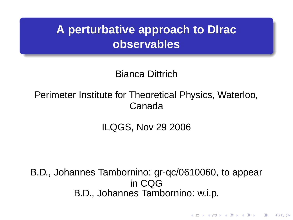# **A perturbative approach to DIrac observables**

Bianca Dittrich

Perimeter Institute for Theoretical Physics, Waterloo, Canada

ILQGS, Nov 29 2006

B.D., Johannes Tambornino: gr-qc/0610060, to appear in CQG B.D., Johannes Tambornino: w.i.p.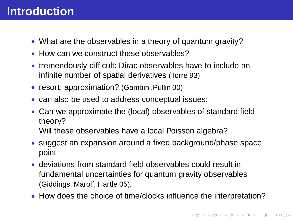## **Introduction**

- What are the observables in a theory of quantum gravity?
- How can we construct these observables?
- tremendously difficult: Dirac observables have to include an infinite number of spatial derivatives (Torre 93)
- resort: approximation? (Gambini, Pullin 00)
- can also be used to address conceptual issues:
- Can we approximate the (local) observables of standard field theory? Will these observables have a local Poisson algebra?
- suggest an expansion around a fixed background/phase space point
- deviations from standard field observables could result in fundamental uncertainties for quantum gravity observables (Giddings, Marolf, Hartle 05).
- How does the choice of time/clocks influence the interpretation?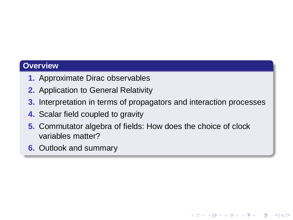#### **Overview**

- **1.** Approximate Dirac observables
- **2.** Application to General Relativity
- **3.** Interpretation in terms of propagators and interaction processes

**KORK ERKERKERKERKER** 

- **4.** Scalar field coupled to gravity
- **5.** Commutator algebra of fields: How does the choice of clock variables matter?
- **6.** Outlook and summary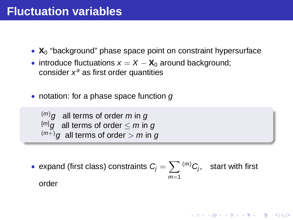- $X_0$  "background" phase space point on constraint hypersurface
- introduce fluctuations  $x = X X_0$  around background; consider  $x^a$  as first order quantities
- notation: for a phase space function  $q$

$$
\stackrel{(m)}{=} g \quad \text{all terms of order } m \text{ in } g
$$
\n
$$
\stackrel{[m]}{=} g \quad \text{all terms of order} \le m \text{ in } g
$$
\n
$$
\stackrel{(m+)}{=} g \quad \text{all terms of order} > m \text{ in } g
$$

• expand (first class) constraints  $C_j = \sum \binom{m}{C_j}$ , start with first  $m=1$ 

order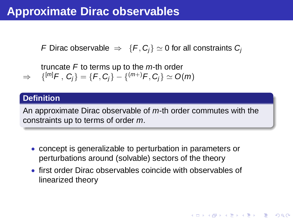## **Approximate Dirac observables**

F Dirac observable  $\Rightarrow$  {F, C<sub>i</sub>}  $\simeq$  0 for all constraints C<sub>i</sub>

truncate  $F$  to terms up to the  $m$ -th order  $\Rightarrow$  $[\Gamma^{[m]}F, \ C_j \} = \{F, C_j\} - \{(^{(m+)}F, C_j\} \simeq {\cal O}(m)$ 

#### **Definition**

An approximate Dirac observable of  $m$ -th order commutes with the constraints up to terms of order m.

- concept is generalizable to perturbation in parameters or perturbations around (solvable) sectors of the theory
- first order Dirac observables coincide with observables of linearized theory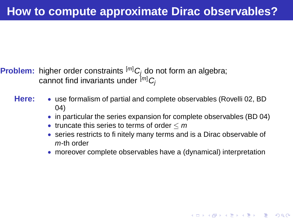**Problem:** higher order constraints  $[m]$   $C_i$  do not form an algebra; cannot find invariants under  $[m]$  C<sub>i</sub>

- 
- **Here:** use formalism of partial and complete observables (Rovelli 02, BD 04)
	- in particular the series expansion for complete observables (BD 04)
	- truncate this series to terms of order  $\leq m$
	- series restricts to finitely many terms and is a Dirac observable of m-th order
	- moreover complete observables have a (dynamical) interpretation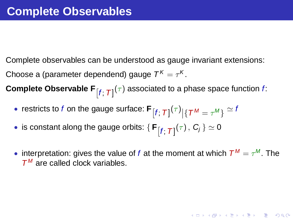Complete observables can be understood as gauge invariant extensions: Choose a (parameter dependend) gauge  $\mathcal{T}^{\mathcal{K}}=\tau^{\mathcal{K}}.$ 

 $\textbf{Complete Observable F}_{\left[f;\text{ }T\right]}(\tau)$  associated to a phase space function  $f$ :

- restricts to  $f$  on the gauge surface:  $\mathbf{F}_{\left[f;\ \mathcal{T}\right]}(\tau)\left[\mathcal{T}^{\mathcal{M}}=\tau^{\mathcal{M}}\right\} \cong \mathcal{V}$
- $\bullet \text{ is constant along the gauge orbits: } \{\, \mathsf{F}_{\left[ f; \; T \right]}(\tau) \, , \, \textcolor{black}{C_{j}} \, \} \simeq 0$
- interpretation: gives the value of f at the moment at which  $T^M = \tau^M$ . The  $T^M$  are called clock variables.

KID K@ KKEX KEX E 1090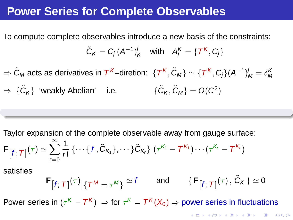#### **Power Series for Complete Observables**

To compute complete observables introduce a new basis of the constraints:

$$
\tilde{C}_K = C_j (A^{-1})_K^j \quad \text{with} \quad A_j^K = \{T^K, C_j\}
$$

 $\Rightarrow$   $\tilde{C}_M$  acts as derivatives in  $\mathcal{T}^{\mathcal{K}}$ –diretion:  $\ \{\mathcal{T}^{\mathcal{K}},\tilde{C}_M\}\simeq\{\mathcal{T}^{\mathcal{K}},C_j\}(A^{-1})_M^j=\delta_{M}^{\mathcal{K}}$  $\Rightarrow \ \{ \tilde{C}_K \}$  'weakly Abelian' i.e.  $\{ \tilde{C}_K, \tilde{C}_M \} = O(C^2)$ 

Taylor expansion of the complete observable away from gauge surface:

$$
\mathbf{F}_{\left[f;\; T\right]}(\tau) \simeq \sum_{r=0}^{\infty} \frac{1}{r!} \left\{ \cdots \left\{ f, \tilde{C}_{K_1} \right\}, \cdots \right\} \tilde{C}_{K_r} \left\} \left( \tau^{K_1} - T^{K_1} \right) \cdots \left( \tau^{K_r} - T^{K_r} \right) \right.
$$

satisfies

$$
\mathbf{F}[f;T]^{(\tau)}|\{T^M=\tau^M\}\simeq f\qquad\text{and}\qquad \{\mathbf{F}[f;T]^{(\tau)},\,\tilde{\mathbf{C}}_K\}\simeq 0
$$

Power series in  $(\tau^K - T^K) \, \Rightarrow$  for  $\tau^K = T^K(X_0) \Rightarrow$  power series in fluctuations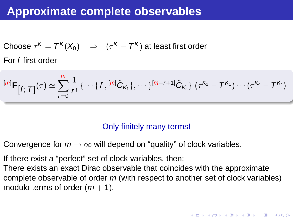### **Approximate complete observables**

Choose  $\tau^{\mathcal{K}}=\mathcal{T}^{\mathcal{K}}(X_0)\quad\Rightarrow\quad (\tau^{\mathcal{K}}-\mathcal{T}^{\mathcal{K}})$  at least first order For f first order

$$
[m] \mathbf{F}_{[f; T]}(\tau) \simeq \sum_{r=0}^{m} \frac{1}{r!} \{ \cdots \{ f, [m] \tilde{C}_{K_1} \}, \cdots \}^{[m-r+1]} \tilde{C}_{K_r} \} (\tau^{K_1} - T^{K_1}) \cdots (\tau^{K_r} - T^{K_r})
$$

#### Only finitely many terms!

- Convergence for  $m \to \infty$  will depend on "quality" of clock variables.
- If there exist a "perfect" set of clock variables, then:
- There exists an exact Dirac observable that coincides with the approximate complete observable of order m (with respect to another set of clock variables) modulo terms of order  $(m + 1)$ .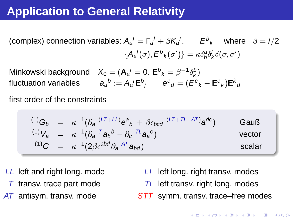## **Application to General Relativity**

(complex) connection variables:  $A_a^j = \Gamma_a^j + \beta K_a^j$ ,  $E^b{}_k$  where  $\beta = i/2$  ${A_a^j(\sigma),E^b}_k(\sigma')\} = \kappa \delta^a_b \delta^j_k \delta(\sigma,\sigma')$ 

Minkowski background  $X_0 = (\mathbf{A}_a^j = 0, \, \mathbf{E}^b{}_k = \beta^{-1} \delta^b_k)$ k fluctuation variables  $a_a{}^b := A_a{}^j {\sf E}^b{}_j$   ${\sf e}^c{}_d = (E^c{}_k - {\sf E}^c{}_k) {\sf E}^k{}_a$ 

first order of the constraints

$$
\begin{array}{rcl}\n^{(1)}G_b & = & \kappa^{-1}(\partial_a \, \frac{(LT + LL)}{B} \mathbf{e}^a{}_b + \beta \epsilon_{bcd} \, \frac{(LT + TL + AT)}{B} \mathbf{a}^{dc}) \\
^{(1)}V_a & = & \kappa^{-1}(\partial_a \, \frac{7}{4} \mathbf{a}_b^b - \partial_c \, \frac{TL}{4} \mathbf{a}_a^c) \\
^{(1)}C & = & \kappa^{-1}(2\beta \epsilon^{abd} \partial_a \, \frac{AT}{4} \mathbf{a}_{bd})\n\end{array}\n\tag{Gauß}
$$
\nscalar

LL left and right long. mode

- $T$  transv. trace part mode
- AT antisym. transv. mode
- LT left long. right transv. modes TL left transv. right long. modes
- STT symm. transv. trace–free modes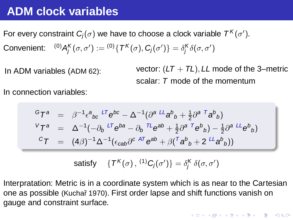### **ADM clock variables**

For every constraint  $\pmb{C}_j(\sigma)$  we have to choose a clock variable  $\mathcal{T}^{\mathcal{K}}(\sigma').$ Convenient:  $^{(0)}A_{j}^{\mathcal{K}}(\sigma,\sigma'):= {}^{(0)}\{\, \mathcal{T}^{\mathcal{K}}(\sigma), \mathbf{C}_{j}(\sigma') \} = \delta^{\mathcal{K}}_{j}\delta(\sigma,\sigma')$ 

In ADM variables (ADM 62): vector:  $(LT + T_L)$ , LL mode of the 3-metric scalar: T mode of the momentum

In connection variables:

$$
\begin{array}{rcl}\n\mathbf{G} \mathbf{T}^{a} & = & \beta^{-1} \epsilon^{a}{}_{bc} \, {}^{LT} \mathbf{e}^{bc} - \Delta^{-1} (\partial^{a} \, {}^{LL} \mathbf{a}^{b}{}_{b} + \frac{1}{2} \partial^{a} \, {}^{T} \mathbf{a}^{b}{}_{b}) \\
\mathbf{V} \mathbf{T}^{a} & = & \Delta^{-1} (-\partial_{b} \, {}^{LT} \mathbf{e}^{ba} - \partial_{b} \, {}^{TL} \mathbf{e}^{ab} + \frac{1}{2} \partial^{a} \, {}^{T} \mathbf{e}^{b}{}_{b}) - \frac{1}{2} \partial^{a} \, {}^{LL} \mathbf{e}^{b}{}_{b}) \\
\mathbf{C} \mathbf{T} & = & (4\beta)^{-1} \Delta^{-1} (\epsilon_{cab} \partial^{c} \, {}^{AT} \mathbf{e}^{ab} + \beta (\, {}^{T} \mathbf{a}^{b}{}_{b} + 2 \, {}^{LL} \mathbf{a}^{b}{}_{b}))\n\end{array}
$$

satisfy  $\{T^{\mathsf{K}}(\sigma)\,,\,{}^{(1)}\mathsf{C}_j(\sigma')\}=\delta^{\mathsf{K}}_j\,\delta(\sigma,\sigma')$ 

Interpratation: Metric is in a coordinate system which is as near to the Cartesian one as possible (Kuchař 1970). First order lapse and shift functions vanish on gauge and constraint surface.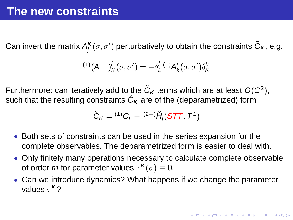Can invert the matrix  $A_j^{\mathcal{K}}(\sigma,\sigma')$  perturbatively to obtain the constraints  $\widetilde{\mathcal{C}}_{\mathcal{K}},$  e.g.

$$
^{(1)}(A^{-1})_{K}^{j}(\sigma,\sigma')=-\delta_{L}^{j}{}^{(1)}A_{K}^{L}(\sigma,\sigma')\delta_{K}^{k}
$$

Furthermore: can iteratively add to the  $\tilde{C}_K$  terms which are at least  $O(C^2)$ , such that the resulting constraints  $\check{C}_\mathcal{K}$  are of the (deparametrized) form

$$
\check{C}_K = {}^{(1)}C_j + {}^{(2+)}\check{H}_j(STT, T^L)
$$

- Both sets of constraints can be used in the series expansion for the complete observables. The deparametrized form is easier to deal with.
- Only finitely many operations necessary to calculate complete observable of order *m* for parameter values  $\tau^{\mathcal{K}}(\sigma) \equiv 0.$
- Can we introduce dynamics? What happens if we change the parameter values  $\tau^{\mathcal{K}}$ ?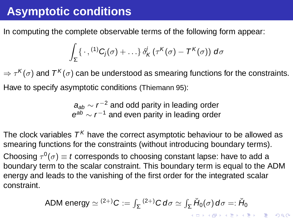# **Asymptotic conditions**

In computing the complete observable terms of the following form appear:

$$
\int_{\Sigma}\{\,\cdot\,,^{(1)}\mathsf{C}_j(\sigma)+\ldots\}\,\delta_{\mathsf{K}}^j\,(\tau^{\mathsf{K}}(\sigma)-\mathsf{T}^{\mathsf{K}}(\sigma))\,\,\mathsf{d}\sigma
$$

 $\Rightarrow$   $\tau^{\mathcal{K}}(\sigma)$  and  $\mathcal{T}^{\mathcal{K}}(\sigma)$  can be understood as smearing functions for the constraints. Have to specify asymptotic conditions (Thiemann 95):

> $\bm{{a}}_{\textit{ab}} \sim r^{-2}$  and odd parity in leading order  $e^{ab} \sim r^{-1}$  and even parity in leading order

The clock variables  $\mathcal{T}^{\mathcal{K}}$  have the correct asymptotic behaviour to be allowed as smearing functions for the constraints (without introducing boundary terms). Choosing  $\tau^0(\sigma)\equiv t$  corresponds to choosing constant lapse: have to add a boundary term to the scalar constraint. This boundary term is equal to the ADM energy and leads to the vanishing of the first order for the integrated scalar constraint.

ADM energy 
$$
\simeq {}^{(2+)}C := \int_{\Sigma} {}^{(2+)}C d\sigma \simeq \int_{\Sigma} \breve{H}_0(\sigma) d\sigma =: \breve{H}_0
$$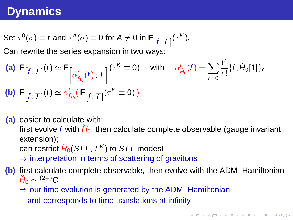## **Dynamics**

Set 
$$
\tau^0(\sigma) \equiv t
$$
 and  $\tau^A(\sigma) \equiv 0$  for  $A \neq 0$  in  $\mathbf{F}_{\left[f; \mathcal{T}\right]}(\tau^K)$ .

Can rewrite the series expansion in two ways:

(a) 
$$
\mathbf{F}_{\left[f;\ \mathcal{T}\right]}(t) \simeq \mathbf{F}_{\left[\alpha_{H_0}^t(f);\ \mathcal{T}\right]}(\tau^K \equiv 0)
$$
 with  $\alpha_{H_0}^t(f) = \sum_{r=0} \frac{t^r}{r!} \{f, H_0[1]\}_r$   
\n(b)  $\mathbf{F}_{\left[f;\ \mathcal{T}\right]}(t) \simeq \alpha_{H_0}^t(\mathbf{F}_{\left[f;\ \mathcal{T}\right]}(\tau^K \equiv 0))$ 

**(a)** easier to calculate with: first evolve f with  $\breve H_0$ , then calculate complete observable (gauge invariant extension); can restrict  $\check H_0(\mathcal{S}TT,T^\mathcal{K})$  to  $\mathcal{S}TT$  modes!  $\Rightarrow$  interpretation in terms of scattering of gravitons **(b)** first calculate complete observable, then evolve with the ADM–Hamiltonian

 $\check H_0 \simeq {}^{(2+)}C$ 

 $\Rightarrow$  our time evolution is generated by the ADM–Hamiltonian and corresponds to time translations at infinity

r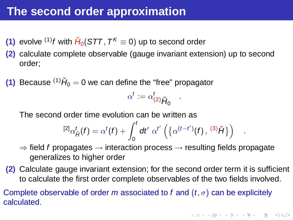## **The second order approximation**

- (1) evolve <sup>(1)</sup>*f* with  $\check{H}_0(\text{STT}, T^K \equiv 0)$  up to second order
- **(2)** calculate complete observable (gauge invariant extension) up to second order;

**(1)** Because  $^{(1)}\check{H}_0 = 0$  we can define the "free" propagator

 $\alpha^t := \alpha_{(2)}^t$ <sub> $\check{H}_0$ </sub>.

The second order time evolution can be written as

$$
{}^{[2]}\alpha_{\breve{H}}^t(f) = \alpha^t(f) + \int_0^t dt' \; \alpha^{t'} \left( \left\{ \alpha^{(t-t')}(f), \, {}^{(3)}\breve{H} \right\} \right)
$$

- $\Rightarrow$  field f propagates  $\rightarrow$  interaction process  $\rightarrow$  resulting fields propagate generalizes to higher order
- **(2)** Calculate gauge invariant extension; for the second order term it is sufficient to calculate the first order complete observables of the two fields involved.

Complete observable of order m associated to f and  $(t, \sigma)$  can be explicitely calculated.

.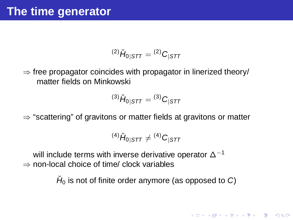$$
^{(2)}\check{H}_{0|STT} = {^{(2)}C_{|STT}}
$$

 $\Rightarrow$  free propagator coincides with propagator in linerized theory/ matter fields on Minkowski

$$
^{(3)}\check{H}_{0|STT} = {^{(3)}C_{|STT}}
$$

 $\Rightarrow$  "scattering" of gravitons or matter fields at gravitons or matter

$$
^{(4)}\check{H}_{0|STT}\neq {}^{(4)}C_{|STT}
$$

will include terms with inverse derivative operator ∆<sup>-1</sup>  $\Rightarrow$  non-local choice of time/ clock variables

 $\check{H}_0$  is not of finite order anymore (as opposed to C)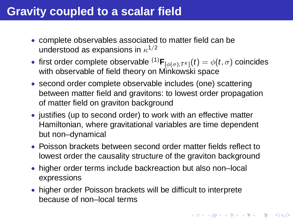## **Gravity coupled to a scalar field**

- complete observables associated to matter field can be understood as expansions in  $\kappa^{1/2}$
- first order complete observable  ${}^{(1)}\mathsf{F}_{[\phi(\sigma);\mathcal{T}^{\mathcal{K}}]}(t)=\phi(t,\sigma)$  coincides with observable of field theory on Minkowski space
- second order complete observable includes (one) scattering between matter field and gravitons: to lowest order propagation of matter field on graviton background
- justifies (up to second order) to work with an effective matter Hamiltonian, where gravitational variables are time dependent but non–dynamical
- Poisson brackets between second order matter fields reflect to lowest order the causality structure of the graviton background
- higher order terms include backreaction but also non–local expressions
- higher order Poisson brackets will be difficult to interprete because of non–local terms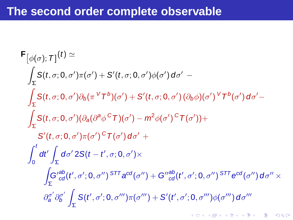## **The second order complete observable**

$$
F_{\phi(\sigma)} \cdot \tau \cdot f(t) \approx
$$
\n
$$
\int_{\Sigma} S(t, \sigma; 0, \sigma') \pi(\sigma') + S'(t, \sigma; 0, \sigma') \phi(\sigma') d\sigma' -
$$
\n
$$
\int_{\Sigma} S(t, \sigma; 0, \sigma') \partial_b(\pi V') \sigma'(t) + S'(t, \sigma; 0, \sigma') (\partial_b \phi)(\sigma') V' \sigma'(t) d\sigma' -
$$
\n
$$
\int_{\Sigma} S(t, \sigma; 0, \sigma') (\partial_a(\partial^a \phi^c \tau)(\sigma') - m^2 \phi(\sigma')^c \tau(\sigma')) +
$$
\n
$$
S'(t, \sigma; 0, \sigma') \pi(\sigma')^c \tau(\sigma') d\sigma' +
$$
\n
$$
\int_0^t dt' \int_{\Sigma} d\sigma' 2S(t - t', \sigma; 0, \sigma') \times
$$
\n
$$
\int_{\Sigma} G'^{ab}_{cd}(t', \sigma'; 0, \sigma'')^{STT} a^{cd}(\sigma'') + G''^{ab}_{cd}(t', \sigma'; 0, \sigma'')^{STT} e^{cd}(\sigma'') d\sigma'' \times
$$
\n
$$
\partial_a^{\sigma'} \partial_b^{\sigma'} \int_{\Sigma} S(t', \sigma'; 0, \sigma''') \pi(\sigma''') + S'(t', \sigma'; 0, \sigma''') \phi(\sigma''') d\sigma''
$$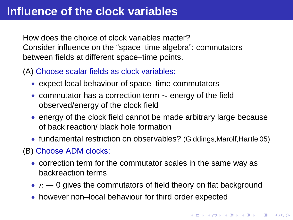How does the choice of clock variables matter? Consider influence on the "space–time algebra": commutators between fields at different space–time points.

(A) Choose scalar fields as clock variables:

- expect local behaviour of space–time commutators
- commutator has a correction term  $\sim$  energy of the field observed/energy of the clock field
- energy of the clock field cannot be made arbitrary large because of back reaction/ black hole formation
- fundamental restriction on observables? (Giddings, Marolf, Hartle 05)

(B) Choose ADM clocks:

- correction term for the commutator scales in the same way as backreaction terms
- $\kappa \to 0$  gives the commutators of field theory on flat background
- however non–local behaviour for third order expected